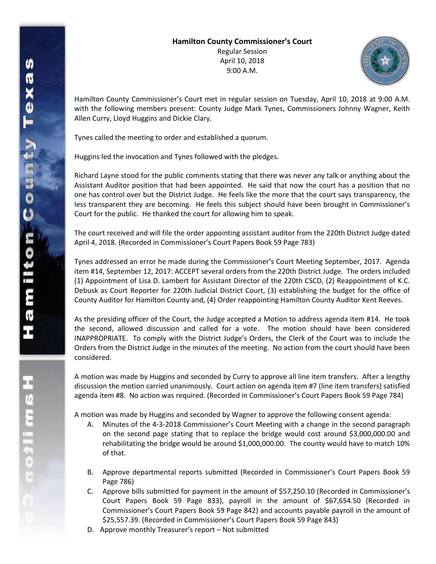## **Hamilton County Commissioner's Court**

Regular Session April 10, 2018 9:00 A.M.



Hamilton County Commissioner's Court met in regular session on Tuesday, April 10, 2018 at 9:00 A.M. with the following members present: County Judge Mark Tynes, Commissioners Johnny Wagner, Keith Allen Curry, Lloyd Huggins and Dickie Clary.

Tynes called the meeting to order and established a quorum.

Huggins led the invocation and Tynes followed with the pledges.

Richard Layne stood for the public comments stating that there was never any talk or anything about the Assistant Auditor position that had been appointed. He said that now the court has a position that no one has control over but the District Judge. He feels like the more that the court says transparency, the less transparent they are becoming. He feels this subject should have been brought in Commissioner's Court for the public. He thanked the court for allowing him to speak.

The court received and will file the order appointing assistant auditor from the 220th District Judge dated April 4, 2018. (Recorded in Commissioner's Court Papers Book 59 Page 783)

Tynes addressed an error he made during the Commissioner's Court Meeting September, 2017. Agenda item #14, September 12, 2017: ACCEPT several orders from the 220th District Judge. The orders included (1) Appointment of Lisa D. Lambert for Assistant Director of the 220th CSCD, (2) Reappointment of K.C. Debusk as Court Reporter for 220th Judicial District Court, (3) establishing the budget for the office of County Auditor for Hamilton County and, (4) Order reappointing Hamilton County Auditor Kent Reeves.

As the presiding officer of the Court, the Judge accepted a Motion to address agenda item #14. He took the second, allowed discussion and called for a vote. The motion should have been considered INAPPROPRIATE. To comply with the District Judge's Orders, the Clerk of the Court was to include the Orders from the District Judge in the minutes of the meeting. No action from the court should have been considered.

A motion was made by Huggins and seconded by Curry to approve all line item transfers. After a lengthy discussion the motion carried unanimously. Court action on agenda item #7 (line item transfers) satisfied agenda item #8. No action was required. (Recorded in Commissioner's Court Papers Book 59 Page 784)

A motion was made by Huggins and seconded by Wagner to approve the following consent agenda:

- A. Minutes of the 4-3-2018 Commissioner's Court Meeting with a change in the second paragraph on the second page stating that to replace the bridge would cost around \$3,000,000.00 and rehabilitating the bridge would be around \$1,000,000.00. The county would have to match 10% of that.
- B. Approve departmental reports submitted (Recorded in Commissioner's Court Papers Book 59 Page 786)
- C. Approve bills submitted for payment in the amount of \$57,250.10 (Recorded in Commissioner's Court Papers Book 59 Page 833), payroll in the amount of \$67,654.50 (Recorded in Commissioner's Court Papers Book 59 Page 842) and accounts payable payroll in the amount of \$25,557.39. (Recorded in Commissioner's Court Papers Book 59 Page 843)
- D. Approve monthly Treasurer's report Not submitted